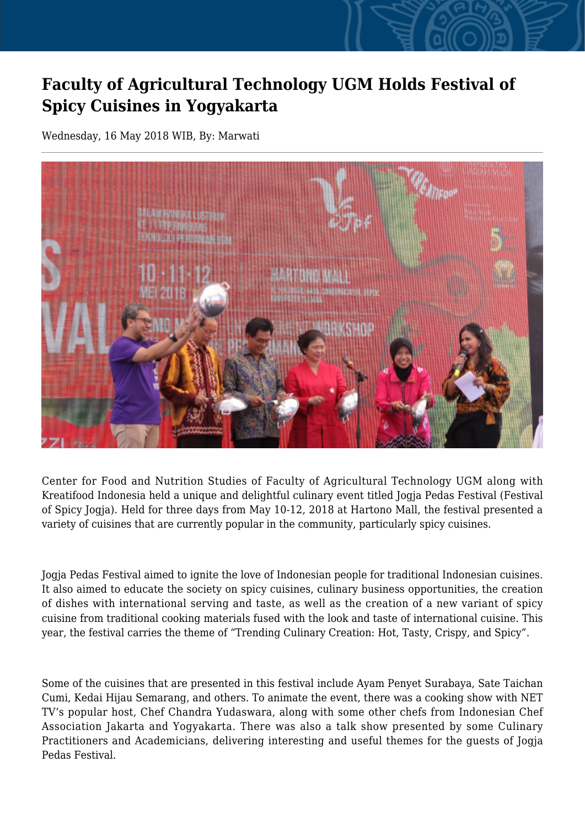## **Faculty of Agricultural Technology UGM Holds Festival of Spicy Cuisines in Yogyakarta**

Wednesday, 16 May 2018 WIB, By: Marwati



Center for Food and Nutrition Studies of Faculty of Agricultural Technology UGM along with Kreatifood Indonesia held a unique and delightful culinary event titled Jogja Pedas Festival (Festival of Spicy Jogja). Held for three days from May 10-12, 2018 at Hartono Mall, the festival presented a variety of cuisines that are currently popular in the community, particularly spicy cuisines.

Jogja Pedas Festival aimed to ignite the love of Indonesian people for traditional Indonesian cuisines. It also aimed to educate the society on spicy cuisines, culinary business opportunities, the creation of dishes with international serving and taste, as well as the creation of a new variant of spicy cuisine from traditional cooking materials fused with the look and taste of international cuisine. This year, the festival carries the theme of "Trending Culinary Creation: Hot, Tasty, Crispy, and Spicy".

Some of the cuisines that are presented in this festival include Ayam Penyet Surabaya, Sate Taichan Cumi, Kedai Hijau Semarang, and others. To animate the event, there was a cooking show with NET TV's popular host, Chef Chandra Yudaswara, along with some other chefs from Indonesian Chef Association Jakarta and Yogyakarta. There was also a talk show presented by some Culinary Practitioners and Academicians, delivering interesting and useful themes for the guests of Jogja Pedas Festival.